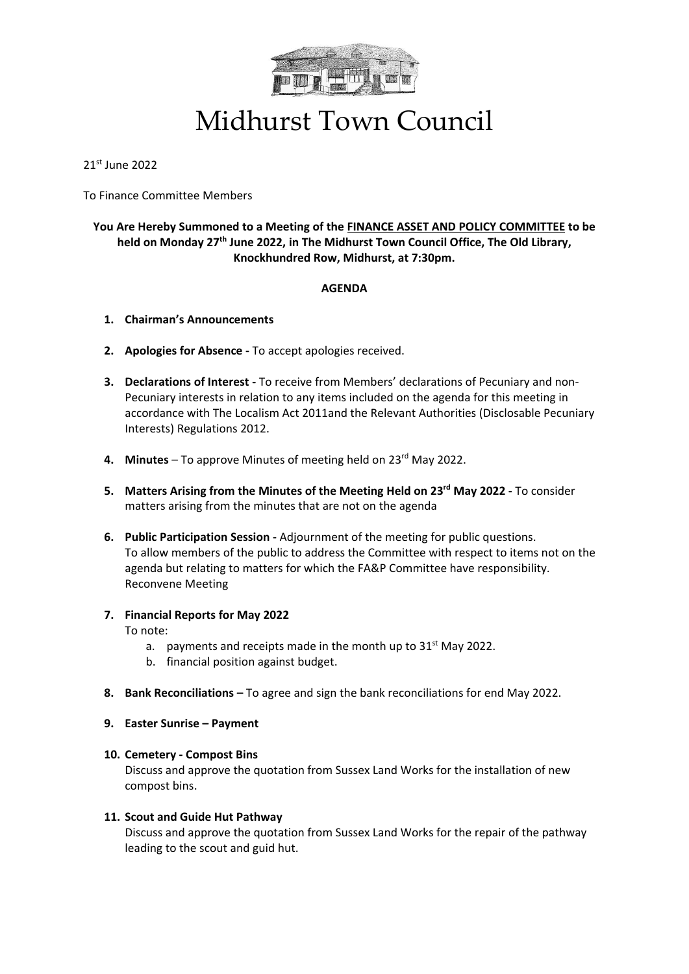

## Midhurst Town Council

21st June 2022

To Finance Committee Members

### **You Are Hereby Summoned to a Meeting of the FINANCE ASSET AND POLICY COMMITTEE to be held on Monday 27th June 2022, in The Midhurst Town Council Office, The Old Library, Knockhundred Row, Midhurst, at 7:30pm.**

#### **AGENDA**

- **1. Chairman's Announcements**
- **2. Apologies for Absence -** To accept apologies received.
- **3. Declarations of Interest -** To receive from Members' declarations of Pecuniary and non-Pecuniary interests in relation to any items included on the agenda for this meeting in accordance with The Localism Act 2011and the Relevant Authorities (Disclosable Pecuniary Interests) Regulations 2012.
- **4. Minutes** To approve Minutes of meeting held on 23rd May 2022.
- **5. Matters Arising from the Minutes of the Meeting Held on 23 rd May 2022 -** To consider matters arising from the minutes that are not on the agenda
- **6. Public Participation Session -** Adjournment of the meeting for public questions. To allow members of the public to address the Committee with respect to items not on the agenda but relating to matters for which the FA&P Committee have responsibility. Reconvene Meeting
- **7. Financial Reports for May 2022**

To note:

- a. payments and receipts made in the month up to  $31<sup>st</sup>$  May 2022.
- b. financial position against budget.
- **8. Bank Reconciliations –** To agree and sign the bank reconciliations for end May 2022.
- **9. Easter Sunrise – Payment**

#### **10. Cemetery - Compost Bins**

Discuss and approve the quotation from Sussex Land Works for the installation of new compost bins.

#### **11. Scout and Guide Hut Pathway**

Discuss and approve the quotation from Sussex Land Works for the repair of the pathway leading to the scout and guid hut.